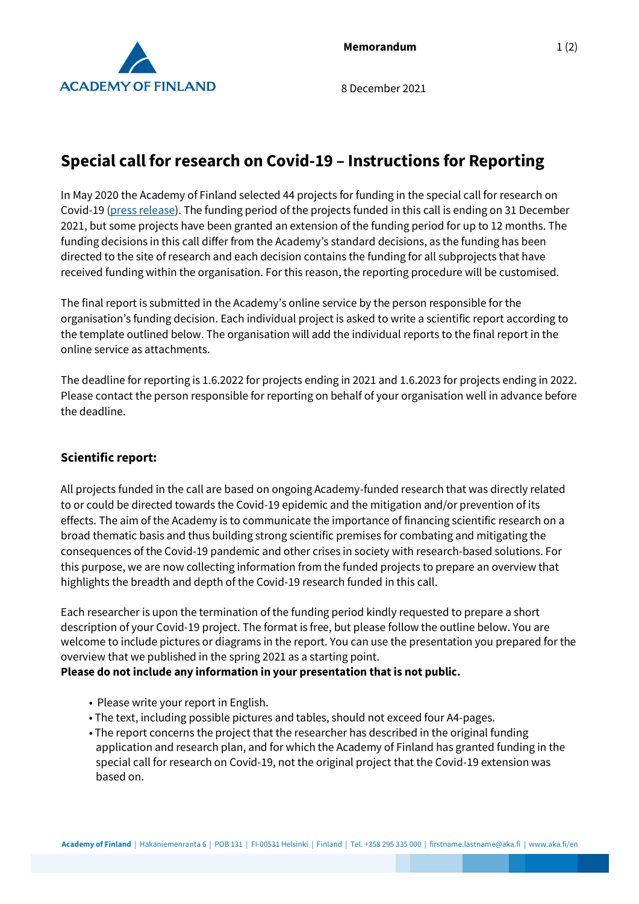

8 December 2021

# **Special call for research on Covid-19 – Instructions for Reporting**

In May 2020 the Academy of Finland selected 44 projects for funding in the special call for research on Covid-19 (press release). The funding period of the projects funded in this call is ending on 31 December 2021, but some projects have been granted an extension of the funding period for up to 12 months. The funding decisions in this call differ from the Academy's standard decisions, as the funding has been directed to the site of research and each decision contains the funding for all subprojects that have received funding within the organisation. For this reason, the reporting procedure will be customised.

The final report is submitted in the Academy's online service by the person responsible for the organisation's funding decision. Each individual project is asked to write a scientific report according to the template outlined below. The organisation will add the individual reports to the final report in the online service as attachments.

The deadline for reporting is 1.6.2022 for projects ending in 2021 and 1.6.2023 for projects ending in 2022. Please contact the person responsible for reporting on behalf of your organisation well in advance before the deadline.

## **Scientific report:**

All projects funded in the call are based on ongoing Academy-funded research that was directly related to or could be directed towards the Covid-19 epidemic and the mitigation and/or prevention of its effects. The aim of the Academy is to communicate the importance of financing scientific research on a broad thematic basis and thus building strong scientific premises for combating and mitigating the consequences of the Covid-19 pandemic and other crises in society with research-based solutions. For this purpose, we are now collecting information from the funded projects to prepare an overview that highlights the breadth and depth of the Covid-19 research funded in this call.

Each researcher is upon the termination of the funding period kindly requested to prepare a short description of your Covid-19 project. The format is free, but please follow the outline below. You are welcome to include pictures or diagrams in the report. You can use the presentation you prepared for the overview that we published in the spring 2021 as a starting point.

## **Please do not include any information in your presentation that is not public.**

- Please write your report in English.
- The text, including possible pictures and tables, should not exceed four A4-pages.
- The report concerns the project that the researcher has described in the original funding application and research plan, and for which the Academy of Finland has granted funding in the special call for research on Covid-19, not the original project that the Covid-19 extension was based on.